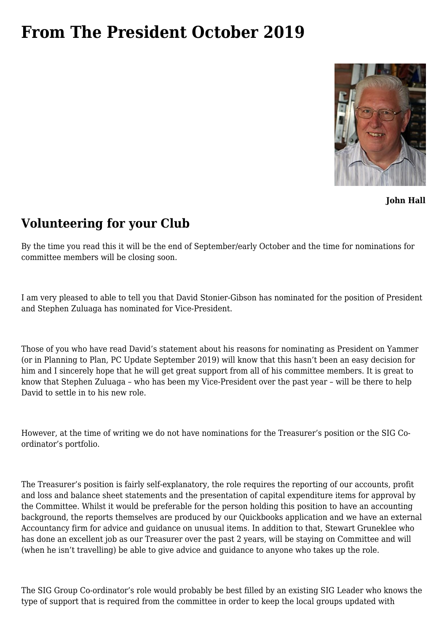## **[From The President October 2019](https://www.melbpc.org.au/from-the-president-september-2019/)**



**John Hall**

## **Volunteering for your Club**

By the time you read this it will be the end of September/early October and the time for nominations for committee members will be closing soon.

I am very pleased to able to tell you that David Stonier-Gibson has nominated for the position of President and Stephen Zuluaga has nominated for Vice-President.

Those of you who have read David's statement about his reasons for nominating as President on Yammer [\(or in Planning to Plan, PC Update September 2019](https://www.melbpc.org.au/planning-to-plan-11786)) will know that this hasn't been an easy decision for him and I sincerely hope that he will get great support from all of his committee members. It is great to know that Stephen Zuluaga – who has been my Vice-President over the past year – will be there to help David to settle in to his new role.

However, at the time of writing we do not have nominations for the Treasurer's position or the SIG Coordinator's portfolio.

The Treasurer's position is fairly self-explanatory, the role requires the reporting of our accounts, profit and loss and balance sheet statements and the presentation of capital expenditure items for approval by the Committee. Whilst it would be preferable for the person holding this position to have an accounting background, the reports themselves are produced by our Quickbooks application and we have an external Accountancy firm for advice and guidance on unusual items. In addition to that, Stewart Gruneklee who has done an excellent job as our Treasurer over the past 2 years, will be staying on Committee and will (when he isn't travelling) be able to give advice and guidance to anyone who takes up the role.

The SIG Group Co-ordinator's role would probably be best filled by an existing SIG Leader who knows the type of support that is required from the committee in order to keep the local groups updated with